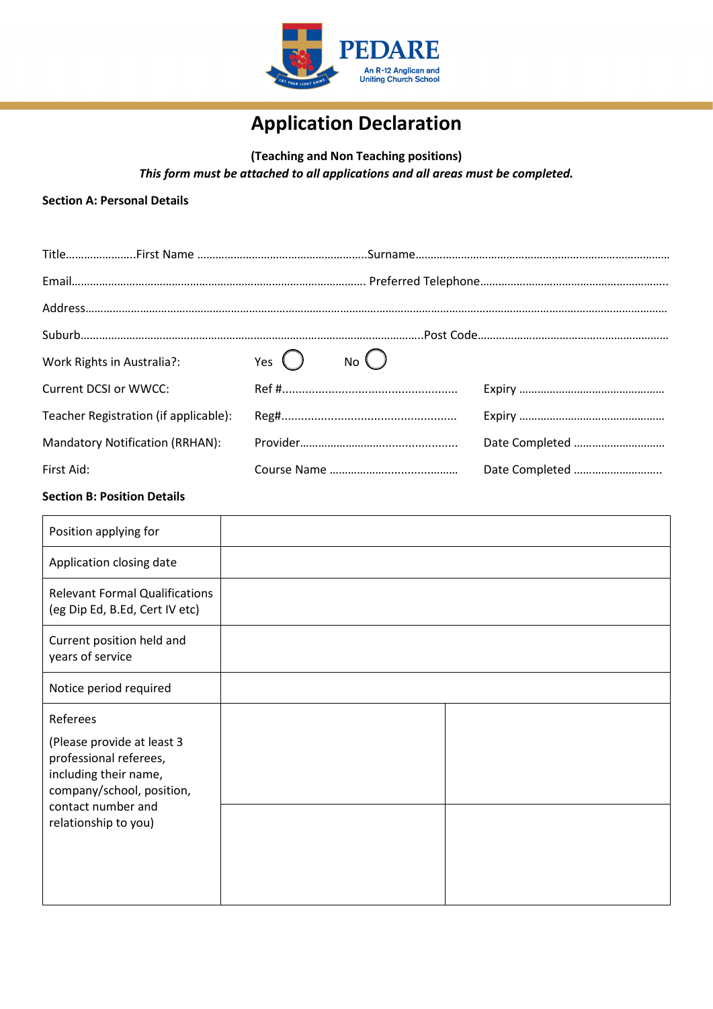

# **Application Declaration**

**(Teaching and Non Teaching positions)** *This form must be attached to all applications and all areas must be completed.*

#### **Section A: Personal Details**

| Work Rights in Australia?:            | Yes $\bigcap$ No $\bigcap$ |                |
|---------------------------------------|----------------------------|----------------|
| <b>Current DCSI or WWCC:</b>          |                            |                |
| Teacher Registration (if applicable): |                            |                |
| Mandatory Notification (RRHAN):       |                            | Date Completed |
| First Aid:                            |                            | Date Completed |

## **Section B: Position Details**

| Position applying for                                                                                                                                                |  |
|----------------------------------------------------------------------------------------------------------------------------------------------------------------------|--|
| Application closing date                                                                                                                                             |  |
| <b>Relevant Formal Qualifications</b><br>(eg Dip Ed, B.Ed, Cert IV etc)                                                                                              |  |
| Current position held and<br>years of service                                                                                                                        |  |
| Notice period required                                                                                                                                               |  |
| Referees<br>(Please provide at least 3<br>professional referees,<br>including their name,<br>company/school, position,<br>contact number and<br>relationship to you) |  |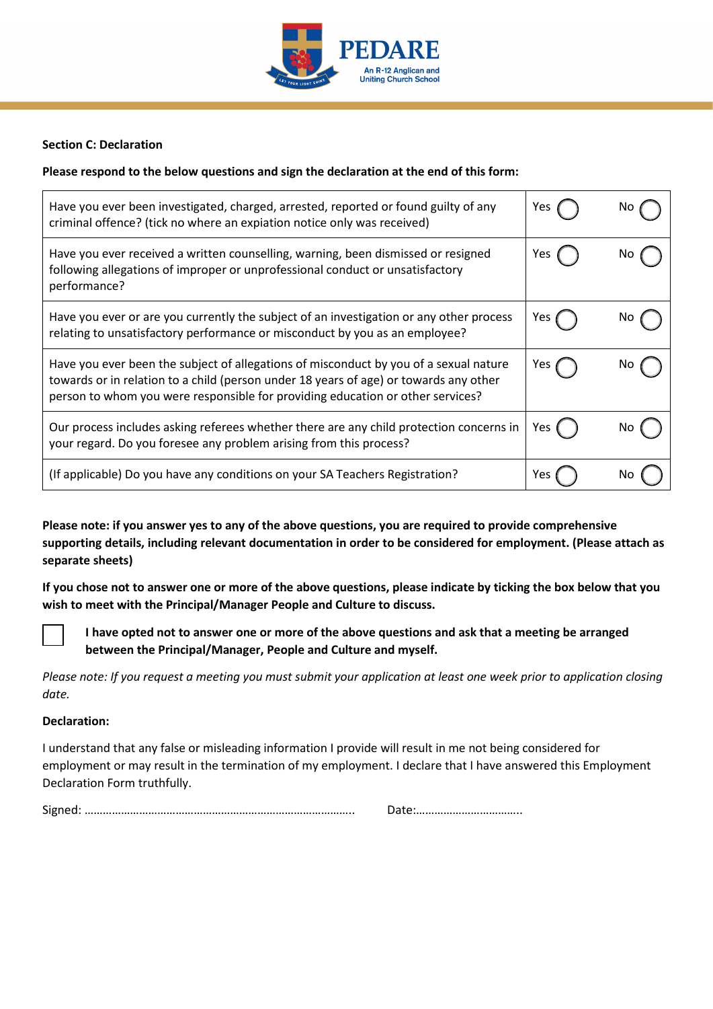

## **Section C: Declaration**

## **Please respond to the below questions and sign the declaration at the end of this form:**

| Have you ever been investigated, charged, arrested, reported or found guilty of any<br>criminal offence? (tick no where an expiation notice only was received)                                                                                                   | Yes              |     |
|------------------------------------------------------------------------------------------------------------------------------------------------------------------------------------------------------------------------------------------------------------------|------------------|-----|
| Have you ever received a written counselling, warning, been dismissed or resigned<br>following allegations of improper or unprofessional conduct or unsatisfactory<br>performance?                                                                               | Yes              |     |
| Have you ever or are you currently the subject of an investigation or any other process<br>relating to unsatisfactory performance or misconduct by you as an employee?                                                                                           | Yes (            | NO. |
| Have you ever been the subject of allegations of misconduct by you of a sexual nature<br>towards or in relation to a child (person under 18 years of age) or towards any other<br>person to whom you were responsible for providing education or other services? | Yes <sub>(</sub> |     |
| Our process includes asking referees whether there are any child protection concerns in<br>your regard. Do you foresee any problem arising from this process?                                                                                                    | Yes (            |     |
| (If applicable) Do you have any conditions on your SA Teachers Registration?                                                                                                                                                                                     | Yes              |     |

**Please note: if you answer yes to any of the above questions, you are required to provide comprehensive supporting details, including relevant documentation in order to be considered for employment. (Please attach as separate sheets)**

**If you chose not to answer one or more of the above questions, please indicate by ticking the box below that you wish to meet with the Principal/Manager People and Culture to discuss.**



☒ **I have opted not to answer one or more of the above questions and ask that a meeting be arranged between the Principal/Manager, People and Culture and myself.**

*Please note: If you request a meeting you must submit your application at least one week prior to application closing date.*

#### **Declaration:**

I understand that any false or misleading information I provide will result in me not being considered for employment or may result in the termination of my employment. I declare that I have answered this Employment Declaration Form truthfully.

Signed: …………………………………………………………………………….. Date:……………………………..